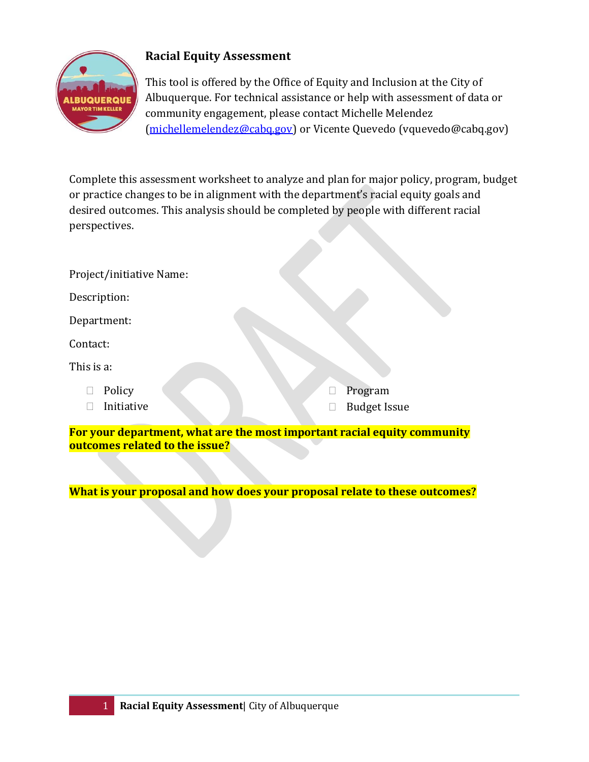

## **Racial Equity Assessment**

This tool is offered by the Office of Equity and Inclusion at the City of Albuquerque. For technical assistance or help with assessment of data or community engagement, please contact Michelle Melendez [\(michellemelendez@cabq.gov\)](mailto:michellemelendez@cabq.gov) or Vicente Quevedo (vquevedo@cabq.gov)

Complete this assessment worksheet to analyze and plan for major policy, program, budget or practice changes to be in alignment with the department's racial equity goals and desired outcomes. This analysis should be completed by people with different racial perspectives.

| Project/initiative Name: |                     |
|--------------------------|---------------------|
| Description:             |                     |
| Department:              |                     |
| Contact:                 |                     |
| This is a:               |                     |
| Policy                   | Program             |
| Initiative               | <b>Budget Issue</b> |

**For your department, what are the most important racial equity community outcomes related to the issue?** 

**What is your proposal and how does your proposal relate to these outcomes?**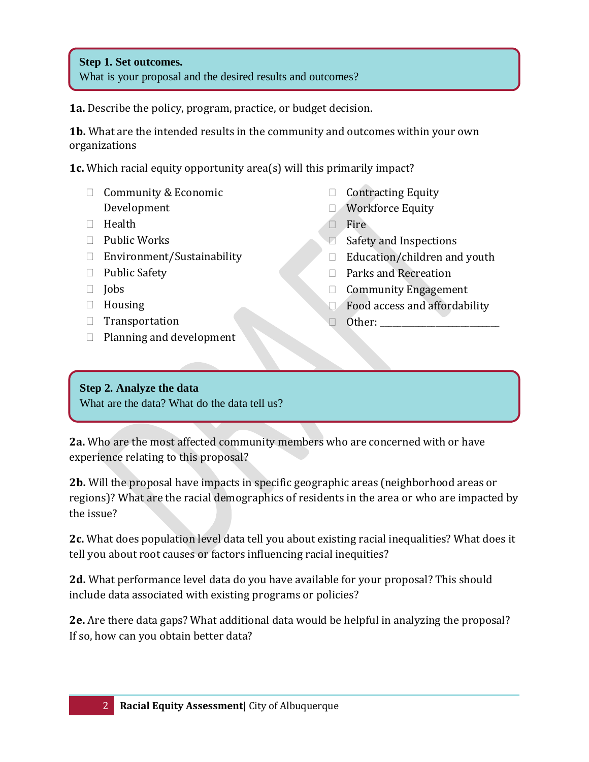## **Step 1. Set outcomes.**

What is your proposal and the desired results and outcomes?

**1a.** Describe the policy, program, practice, or budget decision.

**1b.** What are the intended results in the community and outcomes within your own organizations

**1c.** Which racial equity opportunity area(s) will this primarily impact?

- $\Box$  Community & Economic Development
- $\Box$  Health
- $\Box$  Public Works
- □ Environment/Sustainability
- □ Public Safety
- $\Box$  Jobs
- $\Box$  Housing
- $\Box$  Transportation
- $\Box$  Planning and development
- $\Box$  Contracting Equity
- **Norkforce Equity**
- $\Box$  Fire
- $\Box$  Safety and Inspections
- $\Box$  Education/children and youth
- □ Parks and Recreation
- **Community Engagement**
- Food access and affordability
- $\Box$  Other:

## **Step 2. Analyze the data**

What are the data? What do the data tell us?

**2a.** Who are the most affected community members who are concerned with or have experience relating to this proposal?

**2b.** Will the proposal have impacts in specific geographic areas (neighborhood areas or regions)? What are the racial demographics of residents in the area or who are impacted by the issue?

**2c.** What does population level data tell you about existing racial inequalities? What does it tell you about root causes or factors influencing racial inequities?

**2d.** What performance level data do you have available for your proposal? This should include data associated with existing programs or policies?

**2e.** Are there data gaps? What additional data would be helpful in analyzing the proposal? If so, how can you obtain better data?